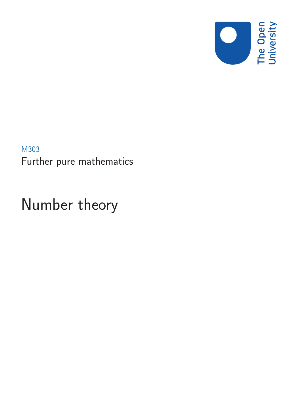

M303 Further pure mathematics

# Number theory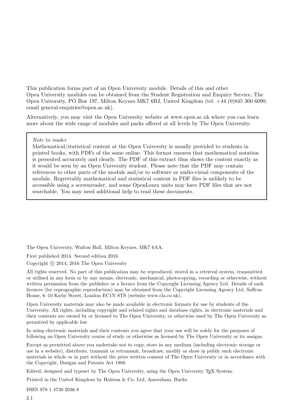This publication forms part of an Open University module. Details of this and other Open University modules can be obtained from the Student Registration and Enquiry Service, The Open University, PO Box 197, Milton Keynes MK7 6BJ, United Kingdom (tel. +44 (0)845 300 6090; email general-enquiries@open.ac.uk).

Alternatively, you may visit the Open University website at www.open.ac.uk where you can learn more about the wide range of modules and packs offered at all levels by The Open University.

#### Note to reader

Mathematical/statistical content at the Open University is usually provided to students in printed books, with PDFs of the same online. This format ensures that mathematical notation is presented accurately and clearly. The PDF of this extract thus shows the content exactly as it would be seen by an Open University student. Please note that the PDF may contain references to other parts of the module and/or to software or audio-visual components of the module. Regrettably mathematical and statistical content in PDF files is unlikely to be accessible using a screenreader, and some OpenLearn units may have PDF files that are not searchable. You may need additional help to read these documents.

The Open University, Walton Hall, Milton Keynes, MK7 6AA.

First published 2014. Second edition 2016.

Copyright © 2014, 2016 The Open University

All rights reserved. No part of this publication may be reproduced, stored in a retrieval system, transmitted or utilised in any form or by any means, electronic, mechanical, photocopying, recording or otherwise, without written permission from the publisher or a licence from the Copyright Licensing Agency Ltd. Details of such licences (for reprographic reproduction) may be obtained from the Copyright Licensing Agency Ltd, Saffron House, 6–10 Kirby Street, London EC1N 8TS (website www.cla.co.uk).

Open University materials may also be made available in electronic formats for use by students of the University. All rights, including copyright and related rights and database rights, in electronic materials and their contents are owned by or licensed to The Open University, or otherwise used by The Open University as permitted by applicable law.

In using electronic materials and their contents you agree that your use will be solely for the purposes of following an Open University course of study or otherwise as licensed by The Open University or its assigns.

Except as permitted above you undertake not to copy, store in any medium (including electronic storage or use in a website), distribute, transmit or retransmit, broadcast, modify or show in public such electronic materials in whole or in part without the prior written consent of The Open University or in accordance with the Copyright, Designs and Patents Act 1988.

Edited, designed and typeset by The Open University, using the Open University T<sub>EX</sub> System.

Printed in the United Kingdom by Halstan & Co. Ltd, Amersham, Bucks.

ISBN 978 1 4730 2036 8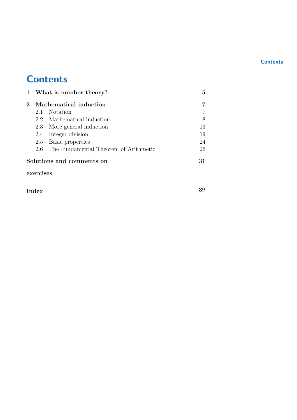#### **Contents**

# **Contents**

| $2^{\circ}$ | Mathematical induction    |                                           |    |
|-------------|---------------------------|-------------------------------------------|----|
|             |                           | 2.1 Notation                              |    |
|             |                           | 2.2 Mathematical induction                | 8  |
|             |                           | 2.3 More general induction                | 13 |
|             |                           | 2.4 Integer division                      | 19 |
|             |                           | 2.5 Basic properties                      | 24 |
|             |                           | 2.6 The Fundamental Theorem of Arithmetic | 26 |
|             | Solutions and comments on |                                           |    |

exercises

Index

39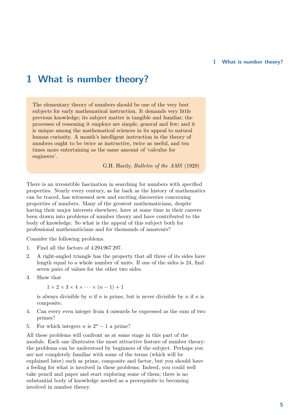# 1 What is number theory?

The elementary theory of numbers should be one of the very best subjects for early mathematical instruction. It demands very little previous knowledge; its subject matter is tangible and familiar; the processes of reasoning it employs are simple, general and few; and it is unique among the mathematical sciences in its appeal to natural human curiosity. A month's intelligent instruction in the theory of numbers ought to be twice as instructive, twice as useful, and ten times more entertaining as the same amount of 'calculus for engineers'.

G.H. Hardy, Bulletin of the AMS (1929)

There is an irresistible fascination in searching for numbers with specified properties. Nearly every century, as far back as the history of mathematics can be traced, has witnessed new and exciting discoveries concerning properties of numbers. Many of the greatest mathematicians, despite having their major interests elsewhere, have at some time in their careers been drawn into problems of number theory and have contributed to the body of knowledge. So what is the appeal of this subject both for professional mathematicians and for thousands of amateurs?

Consider the following problems.

- 1. Find all the factors of 4 294 967 297.
- 2. A right-angled triangle has the property that all three of its sides have length equal to a whole number of units. If one of the sides is 24, find seven pairs of values for the other two sides.
- 3. Show that

 $1 \times 2 \times 3 \times 4 \times \cdots \times (n-1) + 1$ 

is always divisible by  $n$  if  $n$  is prime, but is never divisible by  $n$  if  $n$  is composite.

- 4. Can every even integer from 4 onwards be expressed as the sum of two primes?
- 5. For which integers *n* is  $2^n 1$  a prime?

All these problems will confront us at some stage in this part of the module. Each one illustrates the most attractive feature of number theory: the problems can be understood by beginners of the subject. Perhaps you are not completely familiar with some of the terms (which will be explained later) such as prime, composite and factor, but you should have a feeling for what is involved in these problems. Indeed, you could well take pencil and paper and start exploring some of them; there is no substantial body of knowledge needed as a prerequisite to becoming involved in number theory.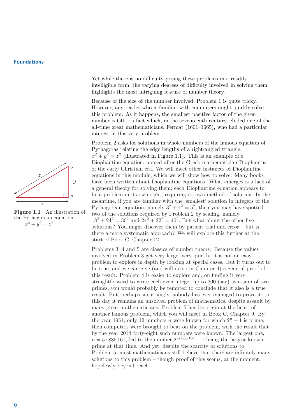

Figure 1.1 An illustration of the Pythagorean equation  $x^2 + y^2 = z^2$ 

Yet while there is no difficulty posing these problems in a readily intelligible form, the varying degrees of difficulty involved in solving them highlights the most intriguing feature of number theory.

Because of the size of the number involved, Problem 1 is quite tricky. However, any reader who is familiar with computers might quickly solve this problem. As it happens, the smallest positive factor of the given number is 641 – a fact which, in the seventeenth century, eluded one of the all-time great mathematicians, Fermat (1601–1665), who had a particular interest in this very problem.

Problem 2 asks for solutions in whole numbers of the famous equation of Pythagoras relating the edge lengths of a right-angled triangle,  $x^2 + y^2 = z^2$  (illustrated in Figure 1.1). This is an example of a Diophantine equation, named after the Greek mathematician Diophantus of the early Christian era. We will meet other instances of Diophantine equations in this module, which we will show how to solve. Many books have been written about Diophantine equations. What emerges is a lack of a general theory for solving them; each Diophantine equation appears to be a problem in its own right, requiring its own method of solution. In the meantime, if you are familiar with the 'smallest' solution in integers of the Pythagorean equation, namely  $3^2 + 4^2 = 5^2$ , then you may have spotted two of the solutions required by Problem 2 by scaling, namely  $18^2 + 24^2 = 30^2$  and  $24^2 + 32^2 = 40^2$ . But what about the other five solutions? You might discover them by patient trial and error – but is there a more systematic approach? We will explore this further at the start of Book C, Chapter 12.

Problems 3, 4 and 5 are classics of number theory. Because the values involved in Problem 3 get very large, very quickly, it is not an easy problem to explore in depth by looking at special cases. But it turns out to be true, and we can give (and will do so in Chapter 4) a general proof of this result. Problem 4 is easier to explore and, on finding it very straightforward to write each even integer up to 200 (say) as a sum of two primes, you would probably be tempted to conclude that it also is a true result. But, perhaps surprisingly, nobody has ever managed to prove it; to this day it remains an unsolved problem of mathematics, despite assault by many great mathematicians. Problem 5 has its origin at the heart of another famous problem, which you will meet in Book C, Chapter 9. By the year 1951, only 12 numbers n were known for which  $2<sup>n</sup> - 1$  is prime: then computers were brought to bear on the problem, with the result that by the year 2014 forty-eight such numbers were known. The largest one,  $n = 57885161$ , led to the number  $2^{57885161} - 1$  being the largest known prime at that time. And yet, despite the scarcity of solutions to Problem 5, most mathematicians still believe that there are infinitely many solutions to this problem – though proof of this seems, at the moment, hopelessly beyond reach.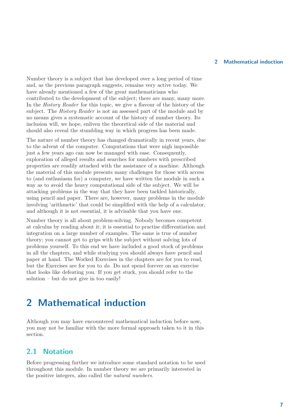Number theory is a subject that has developed over a long period of time and, as the previous paragraph suggests, remains very active today. We have already mentioned a few of the great mathematicians who contributed to the development of the subject; there are many, many more. In the History Reader for this topic, we give a flavour of the history of the subject. The History Reader is not an assessed part of the module and by no means gives a systematic account of the history of number theory. Its inclusion will, we hope, enliven the theoretical side of the material and should also reveal the stumbling way in which progress has been made.

The nature of number theory has changed dramatically in recent years, due to the advent of the computer. Computations that were nigh impossible just a few years ago can now be managed with ease. Consequently, exploration of alleged results and searches for numbers with prescribed properties are readily attacked with the assistance of a machine. Although the material of this module presents many challenges for those with access to (and enthusiasm for) a computer, we have written the module in such a way as to avoid the heavy computational side of the subject. We will be attacking problems in the way that they have been tackled historically, using pencil and paper. There are, however, many problems in the module involving 'arithmetic' that could be simplified with the help of a calculator, and although it is not essential, it is advisable that you have one.

Number theory is all about problem-solving. Nobody becomes competent at calculus by reading about it; it is essential to practise differentiation and integration on a large number of examples. The same is true of number theory; you cannot get to grips with the subject without solving lots of problems yourself. To this end we have included a good stock of problems in all the chapters, and while studying you should always have pencil and paper at hand. The Worked Exercises in the chapters are for you to read, but the Exercises are for you to do. Do not spend forever on an exercise that looks like defeating you. If you get stuck, you should refer to the solution – but do not give in too easily!

# 2 Mathematical induction

Although you may have encountered mathematical induction before now, you may not be familiar with the more formal approach taken to it in this section.

#### 2.1 Notation

Before progressing further we introduce some standard notation to be used throughout this module. In number theory we are primarily interested in the positive integers, also called the natural numbers.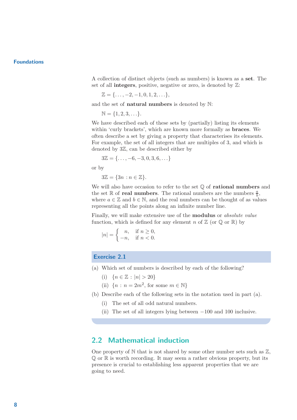A collection of distinct objects (such as numbers) is known as a set. The set of all **integers**, positive, negative or zero, is denoted by  $\mathbb{Z}$ :

$$
\mathbb{Z} = \{\ldots, -2, -1, 0, 1, 2, \ldots\},\
$$

and the set of natural numbers is denoted by N:

$$
\mathbb{N} = \{1, 2, 3, \ldots\}.
$$

We have described each of these sets by (partially) listing its elements within 'curly brackets', which are known more formally as braces. We often describe a set by giving a property that characterises its elements. For example, the set of all integers that are multiples of 3, and which is denoted by 3Z, can be described either by

 $3\mathbb{Z} = \{\ldots, -6, -3, 0, 3, 6, \ldots\}$ 

or by

 $3\mathbb{Z} = \{3n : n \in \mathbb{Z}\}.$ 

We will also have occasion to refer to the set  $\mathbb Q$  of **rational numbers** and the set  $\mathbb R$  of **real numbers**. The rational numbers are the numbers  $\frac{a}{b}$ , where  $a \in \mathbb{Z}$  and  $b \in \mathbb{N}$ , and the real numbers can be thought of as values representing all the points along an infinite number line.

Finally, we will make extensive use of the modulus or absolute value function, which is defined for any element n of  $\mathbb{Z}$  (or  $\mathbb{Q}$  or  $\mathbb{R}$ ) by

$$
|n| = \begin{cases} n, & \text{if } n \ge 0, \\ -n, & \text{if } n < 0. \end{cases}
$$

#### Exercise 2.1

- (a) Which set of numbers is described by each of the following?
	- (i)  ${n \in \mathbb{Z} : |n| > 20}$
	- (ii)  ${n : n = 2m^2$ , for some  $m \in \mathbb{N}$
- (b) Describe each of the following sets in the notation used in part (a).
	- (i) The set of all odd natural numbers.
	- (ii) The set of all integers lying between −100 and 100 inclusive.

#### 2.2 Mathematical induction

One property of  $N$  that is not shared by some other number sets such as  $\mathbb{Z}$ ,  $\mathbb{Q}$  or  $\mathbb{R}$  is worth recording. It may seem a rather obvious property, but its presence is crucial to establishing less apparent properties that we are going to need.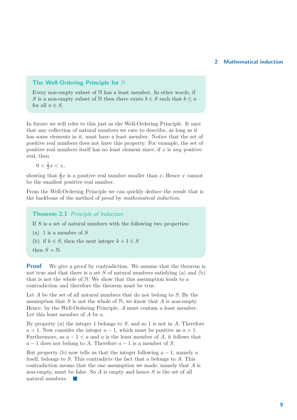#### The Well-Ordering Principle for N

Every non-empty subset of N has a least member. In other words, if S is a non-empty subset of N then there exists  $b \in S$  such that  $b \leq n$ for all  $n \in S$ .

In future we will refer to this just as the Well-Ordering Principle. It says that any collection of natural numbers we care to describe, as long as it has some elements in it, must have a least member. Notice that the set of positive real numbers does not have this property. For example, the set of positive real numbers itself has no least element since, if  $x$  is any positive real, then

 $0 < \frac{1}{2}$  $\frac{1}{2}x < x$ ,

showing that  $\frac{1}{2}x$  is a positive real number smaller than x. Hence x cannot be the smallest positive real number.

From the Well-Ordering Principle we can quickly deduce the result that is the backbone of the method of proof by mathematical induction.

Theorem 2.1 Principle of Induction

If  $S$  is a set of natural numbers with the following two properties:

- (a) 1 is a member of  $S$
- (b) if  $k \in S$ , then the next integer  $k + 1 \in S$
- then  $S = N$ .

**Proof** We give a proof by contradiction. We assume that the theorem is not true and that there is a set S of natural numbers satisfying (a) and (b) that is not the whole of N. We show that this assumption leads to a contradiction and therefore the theorem must be true.

Let  $A$  be the set of all natural numbers that do not belong to  $S$ . By the assumption that  $S$  is not the whole of  $N$ , we know that  $A$  is non-empty. Hence, by the Well-Ordering Principle, A must contain a least member. Let this least member of  $A$  be  $a$ .

By property (a) the integer 1 belongs to  $S$ , and so 1 is not in  $A$ . Therefore  $a > 1$ . Now consider the integer  $a - 1$ , which must be positive as  $a > 1$ . Furthermore, as  $a - 1 < a$  and a is the least member of A, it follows that  $a-1$  does not belong to A. Therefore  $a-1$  is a member of S.

But property (b) now tells us that the integer following  $a - 1$ , namely a itself, belongs to S. This contradicts the fact that a belongs to A. This contradiction means that the one assumption we made, namely that A is non-empty, must be false. So  $A$  is empty and hence  $S$  is the set of all natural numbers.  $\blacksquare$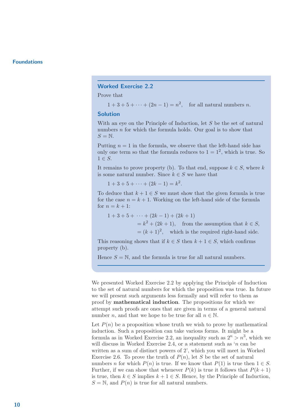#### Worked Exercise 2.2

Prove that

 $1 + 3 + 5 + \cdots + (2n - 1) = n^2$ , for all natural numbers *n*.

#### Solution

With an eye on the Principle of Induction, let S be the set of natural numbers  $n$  for which the formula holds. Our goal is to show that  $S = N$ .

Putting  $n = 1$  in the formula, we observe that the left-hand side has only one term so that the formula reduces to  $1 = 1^2$ , which is true. So  $1 \in S$ .

It remains to prove property (b). To that end, suppose  $k \in S$ , where k is some natural number. Since  $k \in S$  we have that

 $1 + 3 + 5 + \cdots + (2k - 1) = k^2.$ 

To deduce that  $k + 1 \in S$  we must show that the given formula is true for the case  $n = k + 1$ . Working on the left-hand side of the formula for  $n = k + 1$ :

 $1+3+5+\cdots+(2k-1)+(2k+1)$  $= k^2 + (2k + 1)$ , from the assumption that  $k \in S$ ,

 $=(k+1)^2$ , which is the required right-hand side.

This reasoning shows that if  $k \in S$  then  $k + 1 \in S$ , which confirms property (b).

Hence  $S = N$ , and the formula is true for all natural numbers.

We presented Worked Exercise 2.2 by applying the Principle of Induction to the set of natural numbers for which the proposition was true. In future we will present such arguments less formally and will refer to them as proof by mathematical induction. The propositions for which we attempt such proofs are ones that are given in terms of a general natural number *n*, and that we hope to be true for all  $n \in \mathbb{N}$ .

Let  $P(n)$  be a proposition whose truth we wish to prove by mathematical induction. Such a proposition can take various forms. It might be a formula as in Worked Exercise 2.2, an inequality such as  $2^n > n^3$ , which we will discuss in Worked Exercise 2.4, or a statement such as 'n can be written as a sum of distinct powers of 2', which you will meet in Worked Exercise 2.6. To prove the truth of  $P(n)$ , let S be the set of natural numbers n for which  $P(n)$  is true. If we know that  $P(1)$  is true then  $1 \in S$ . Further, if we can show that whenever  $P(k)$  is true it follows that  $P(k+1)$ is true, then  $k \in S$  implies  $k + 1 \in S$ . Hence, by the Principle of Induction,  $S = N$ , and  $P(n)$  is true for all natural numbers.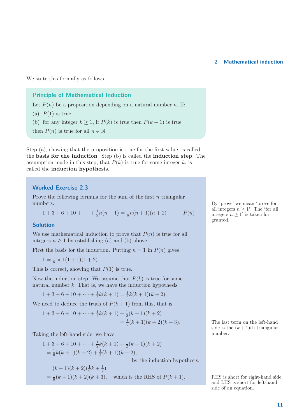We state this formally as follows.

#### Principle of Mathematical Induction

Let  $P(n)$  be a proposition depending on a natural number n. If:

- (a)  $P(1)$  is true
- (b) for any integer  $k \geq 1$ , if  $P(k)$  is true then  $P(k+1)$  is true

then  $P(n)$  is true for all  $n \in \mathbb{N}$ .

Step (a), showing that the proposition is true for the first value, is called the basis for the induction. Step (b) is called the induction step. The assumption made in this step, that  $P(k)$  is true for some integer k, is called the induction hypothesis.

#### Worked Exercise 2.3

Prove the following formula for the sum of the first  $n$  triangular numbers. By 'prove' we mean 'prove for the state of the state of the state of the state of the state of the state of the state of the state of the state of the state of the state of the state of the state of the state of t

$$
1 + 3 + 6 + 10 + \dots + \frac{1}{2}n(n+1) = \frac{1}{6}n(n+1)(n+2) \qquad P(n)
$$

#### Solution

We use mathematical induction to prove that  $P(n)$  is true for all integers  $n \geq 1$  by establishing (a) and (b) above.

First the basis for the induction. Putting  $n = 1$  in  $P(n)$  gives

 $1 = \frac{1}{6} \times 1(1 + 1)(1 + 2).$ 

This is correct, showing that  $P(1)$  is true.

Now the induction step. We assume that  $P(k)$  is true for some natural number  $k$ . That is, we have the induction hypothesis

$$
1 + 3 + 6 + 10 + \dots + \frac{1}{2}k(k+1) = \frac{1}{6}k(k+1)(k+2).
$$

We need to deduce the truth of  $P(k + 1)$  from this, that is

$$
1+3+6+10+\cdots+\frac{1}{2}k(k+1)+\frac{1}{2}(k+1)(k+2)
$$
  
=  $\frac{1}{6}(k+1)(k+2)(k+3).$ 

Taking the left-hand side, we have

$$
1+3+6+10+\cdots+\frac{1}{2}k(k+1)+\frac{1}{2}(k+1)(k+2)
$$
  
=  $\frac{1}{6}k(k+1)(k+2)+\frac{1}{2}(k+1)(k+2)$ ,  
by the induction hypoth  
=  $(k+1)(k+2)(\frac{1}{6}k+\frac{1}{2})$   
=  $\frac{1}{6}(k+1)(k+2)(k+3)$ , which is the RHS of  $P(k+1)$ .

all integers  $n \geq 1$ '. The 'for all integers  $n \geq 1$ ' is taken for granted.

The last term on the left-hand side is the  $(k + 1)$ th triangular<br>number.

he sis.

 $\frac{1}{6}(k+1)(k+2)(k+3)$ , which is the RHS of  $P(k+1)$ . RHS is short for right-hand side and LHS is short for left-hand side of an equation.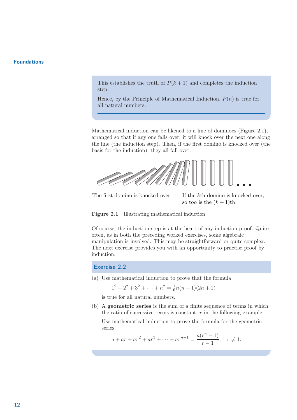This establishes the truth of  $P(k+1)$  and completes the induction step.

Hence, by the Principle of Mathematical Induction,  $P(n)$  is true for all natural numbers.

Mathematical induction can be likened to a line of dominoes (Figure 2.1), arranged so that if any one falls over, it will knock over the next one along the line (the induction step). Then, if the first domino is knocked over (the basis for the induction), they all fall over.



The first domino is knocked over If the kth domino is knocked over,

so too is the  $(k+1)$ th



Of course, the induction step is at the heart of any induction proof. Quite often, as in both the preceding worked exercises, some algebraic manipulation is involved. This may be straightforward or quite complex. The next exercise provides you with an opportunity to practise proof by induction.

Exercise 2.2

(a) Use mathematical induction to prove that the formula

 $1^2 + 2^2 + 3^2 + \cdots + n^2 = \frac{1}{6}$  $\frac{1}{6}n(n+1)(2n+1)$ 

is true for all natural numbers.

(b) A geometric series is the sum of a finite sequence of terms in which the ratio of successive terms is constant,  $r$  in the following example.

Use mathematical induction to prove the formula for the geometric series

$$
a + ar + ar2 + ar3 + \dots + arn-1 = \frac{a(rn - 1)}{r - 1}, \quad r \neq 1.
$$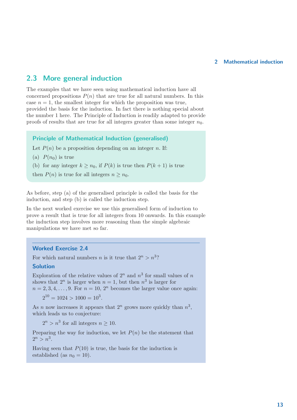#### 2.3 More general induction

The examples that we have seen using mathematical induction have all concerned propositions  $P(n)$  that are true for all natural numbers. In this case  $n = 1$ , the smallest integer for which the proposition was true, provided the basis for the induction. In fact there is nothing special about the number 1 here. The Principle of Induction is readily adapted to provide proofs of results that are true for all integers greater than some integer  $n_0$ .

#### Principle of Mathematical Induction (generalised)

Let  $P(n)$  be a proposition depending on an integer n. If:

(a)  $P(n_0)$  is true

(b) for any integer  $k \geq n_0$ , if  $P(k)$  is true then  $P(k+1)$  is true

then  $P(n)$  is true for all integers  $n \geq n_0$ .

As before, step (a) of the generalised principle is called the basis for the induction, and step (b) is called the induction step.

In the next worked exercise we use this generalised form of induction to prove a result that is true for all integers from 10 onwards. In this example the induction step involves more reasoning than the simple algebraic manipulations we have met so far.

#### Worked Exercise 2.4

For which natural numbers *n* is it true that  $2^n > n^3$ ?

#### Solution

Exploration of the relative values of  $2^n$  and  $n^3$  for small values of n shows that  $2^n$  is larger when  $n = 1$ , but then  $n^3$  is larger for  $n = 2, 3, 4, \ldots, 9$ . For  $n = 10, 2^n$  becomes the larger value once again:

 $2^{10} = 1024 > 1000 = 10^3$ .

As *n* now increases it appears that  $2^n$  grows more quickly than  $n^3$ , which leads us to conjecture:

 $2^n > n^3$  for all integers  $n \ge 10$ .

Preparing the way for induction, we let  $P(n)$  be the statement that  $2^n > n^3$ .

Having seen that  $P(10)$  is true, the basis for the induction is established (as  $n_0 = 10$ ).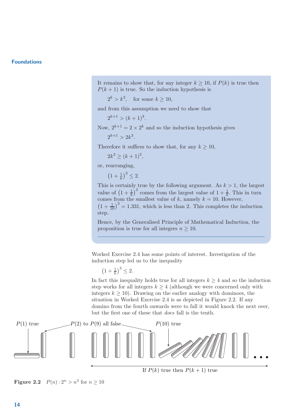It remains to show that, for any integer  $k \geq 10$ , if  $P(k)$  is true then  $P(k+1)$  is true. So the induction hypothesis is

 $2^k > k^3$ , for some  $k \ge 10$ ,

and from this assumption we need to show that

 $2^{k+1} > (k+1)^3$ .

Now,  $2^{k+1} = 2 \times 2^k$  and so the induction hypothesis gives

$$
2^{k+1} > 2k^3.
$$

Therefore it suffices to show that, for any  $k \geq 10$ ,

$$
2k^3 \ge (k+1)^3,
$$

or, rearranging,

 $(1 + \frac{1}{k})^3 \leq 2.$ 

This is certainly true by the following argument. As  $k > 1$ , the largest value of  $\left(1+\frac{1}{k}\right)^3$  comes from the largest value of  $1+\frac{1}{k}$ . This in turn comes from the smallest value of  $k$ , namely  $k = 10$ . However,  $\left(1+\frac{1}{10}\right)^3 = 1.331$ , which is less than 2. This completes the induction step.

Hence, by the Generalised Principle of Mathematical Induction, the proposition is true for all integers  $n \geq 10$ .

Worked Exercise 2.4 has some points of interest. Investigation of the induction step led us to the inequality

 $(1 + \frac{1}{k})^3 \leq 2.$ 

In fact this inequality holds true for all integers  $k \geq 4$  and so the induction step works for all integers  $k \geq 4$  (although we were concerned only with integers  $k \geq 10$ ). Drawing on the earlier analogy with dominoes, the situation in Worked Exercise 2.4 is as depicted in Figure 2.2. If any domino from the fourth onwards were to fall it would knock the next over, but the first one of these that does fall is the tenth.



**Figure 2.2**  $P(n): 2^n > n^3$  for  $n \ge 10$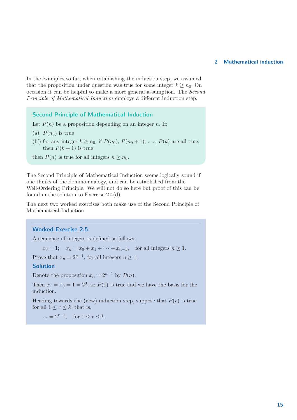In the examples so far, when establishing the induction step, we assumed that the proposition under question was true for some integer  $k > n_0$ . On occasion it can be helpful to make a more general assumption. The Second Principle of Mathematical Induction employs a different induction step.

Second Principle of Mathematical Induction

Let  $P(n)$  be a proposition depending on an integer n. If:

- (a)  $P(n_0)$  is true
- (b') for any integer  $k \geq n_0$ , if  $P(n_0)$ ,  $P(n_0 + 1)$ , ...,  $P(k)$  are all true, then  $P(k+1)$  is true

then  $P(n)$  is true for all integers  $n \geq n_0$ .

The Second Principle of Mathematical Induction seems logically sound if one thinks of the domino analogy, and can be established from the Well-Ordering Principle. We will not do so here but proof of this can be found in the solution to Exercise 2.4(d).

The next two worked exercises both make use of the Second Principle of Mathematical Induction.

#### Worked Exercise 2.5

A sequence of integers is defined as follows:

 $x_0 = 1;$   $x_n = x_0 + x_1 + \cdots + x_{n-1}$ , for all integers  $n \ge 1$ .

Prove that  $x_n = 2^{n-1}$ , for all integers  $n \ge 1$ .

#### Solution

Denote the proposition  $x_n = 2^{n-1}$  by  $P(n)$ .

Then  $x_1 = x_0 = 1 = 2^0$ , so  $P(1)$  is true and we have the basis for the induction.

Heading towards the (new) induction step, suppose that  $P(r)$  is true for all  $1 \leq r \leq k$ ; that is,

 $x_r = 2^{r-1}$ , for  $1 \le r \le k$ .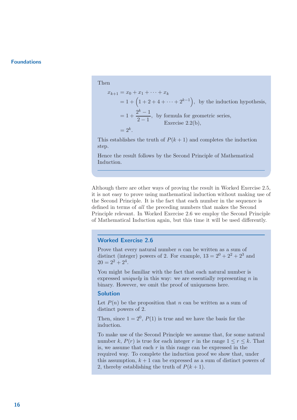Then

$$
x_{k+1} = x_0 + x_1 + \dots + x_k
$$
  
= 1 + (1 + 2 + 4 + \dots + 2<sup>k-1</sup>), by the induction hypothesis,  
= 1 +  $\frac{2^k - 1}{2 - 1}$ , by formula for geometric series,  
Exercise 2.2(b),  
= 2<sup>k</sup>.

This establishes the truth of  $P(k+1)$  and completes the induction step.

Hence the result follows by the Second Principle of Mathematical Induction.

Although there are other ways of proving the result in Worked Exercise 2.5, it is not easy to prove using mathematical induction without making use of the Second Principle. It is the fact that each number in the sequence is defined in terms of all the preceding numbers that makes the Second Principle relevant. In Worked Exercise 2.6 we employ the Second Principle of Mathematical Induction again, but this time it will be used differently.

#### Worked Exercise 2.6

Prove that every natural number  $n$  can be written as a sum of distinct (integer) powers of 2. For example,  $13 = 2^0 + 2^2 + 2^3$  and  $20 = 2^2 + 2^4$ .

You might be familiar with the fact that each natural number is expressed *uniquely* in this way: we are essentially representing  $n$  in binary. However, we omit the proof of uniqueness here.

#### Solution

Let  $P(n)$  be the proposition that n can be written as a sum of distinct powers of 2.

Then, since  $1 = 2^0$ ,  $P(1)$  is true and we have the basis for the induction.

To make use of the Second Principle we assume that, for some natural number k,  $P(r)$  is true for each integer r in the range  $1 \leq r \leq k$ . That is, we assume that each  $r$  in this range can be expressed in the required way. To complete the induction proof we show that, under this assumption,  $k + 1$  can be expressed as a sum of distinct powers of 2, thereby establishing the truth of  $P(k+1)$ .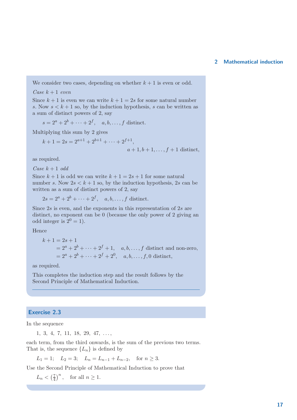We consider two cases, depending on whether  $k + 1$  is even or odd.

#### Case  $k + 1$  even

Since  $k + 1$  is even we can write  $k + 1 = 2s$  for some natural number s. Now  $s < k + 1$  so, by the induction hypothesis, s can be written as a sum of distinct powers of 2, say

$$
s = 2a + 2b + \dots + 2f, \quad a, b, \dots, f \text{ distinct.}
$$

Multiplying this sum by 2 gives

$$
k + 1 = 2s = 2^{a+1} + 2^{b+1} + \dots + 2^{f+1},
$$
  
\n
$$
a + 1, b + 1, \dots, f + 1 \text{ distinct},
$$

as required.

Case  $k + 1$  odd

Since  $k + 1$  is odd we can write  $k + 1 = 2s + 1$  for some natural number s. Now  $2s < k + 1$  so, by the induction hypothesis, 2s can be written as a sum of distinct powers of 2, say

 $2s = 2^a + 2^b + \dots + 2^f, \quad a, b, \dots, f \text{ distinct.}$ 

Since  $2s$  is even, and the exponents in this representation of  $2s$  are distinct, no exponent can be 0 (because the only power of 2 giving an odd integer is  $2^0 = 1$ .

Hence

$$
k + 1 = 2s + 1
$$
  
=  $2^a + 2^b + \dots + 2^f + 1$ , *a, b, ..., f* distinct and non-zero,  
=  $2^a + 2^b + \dots + 2^f + 2^0$ , *a, b, ..., f, 0* distinct,

as required.

This completes the induction step and the result follows by the Second Principle of Mathematical Induction.

#### Exercise 2.3

In the sequence

1, 3, 4, 7, 11, 18, 29, 47, . . . ,

each term, from the third onwards, is the sum of the previous two terms. That is, the sequence  $\{L_n\}$  is defined by

 $L_1 = 1; \quad L_2 = 3; \quad L_n = L_{n-1} + L_{n-2}, \quad \text{for } n \geq 3.$ 

Use the Second Principle of Mathematical Induction to prove that

 $L_n < \left(\frac{7}{4}\right)$  $\frac{7}{4}$ , for all  $n \ge 1$ .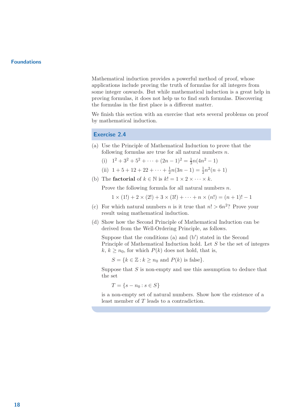Mathematical induction provides a powerful method of proof, whose applications include proving the truth of formulas for all integers from some integer onwards. But while mathematical induction is a great help in proving formulas, it does not help us to find such formulas. Discovering the formulas in the first place is a different matter.

We finish this section with an exercise that sets several problems on proof by mathematical induction.

#### Exercise 2.4

- (a) Use the Principle of Mathematical Induction to prove that the following formulas are true for all natural numbers  $n$ .
	- (i)  $1^2 + 3^2 + 5^2 + \cdots + (2n 1)^2 = \frac{1}{3}$  $\frac{1}{3}n(4n^2-1)$
	- (ii)  $1 + 5 + 12 + 22 + \cdots + \frac{1}{2}$  $\frac{1}{2}n(3n-1) = \frac{1}{2}n^2(n+1)$
- (b) The **factorial** of  $k \in \mathbb{N}$  is  $k! = 1 \times 2 \times \cdots \times k$ .

Prove the following formula for all natural numbers  $n$ .

 $1 \times (1!) + 2 \times (2!) + 3 \times (3!) + \cdots + n \times (n!) = (n+1)! - 1$ 

- (c) For which natural numbers *n* is it true that  $n! > 6n^2$ ? Prove your result using mathematical induction.
- (d) Show how the Second Principle of Mathematical Induction can be derived from the Well-Ordering Principle, as follows.

Suppose that the conditions (a) and  $(b')$  stated in the Second Principle of Mathematical Induction hold. Let S be the set of integers k,  $k > n_0$ , for which  $P(k)$  does not hold, that is,

 $S = \{k \in \mathbb{Z} : k \geq n_0 \text{ and } P(k) \text{ is false}\}.$ 

Suppose that  $S$  is non-empty and use this assumption to deduce that the set

 $T = \{s - n_0 : s \in S\}$ 

is a non-empty set of natural numbers. Show how the existence of a least member of T leads to a contradiction.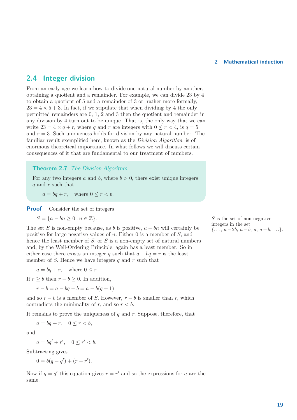#### 2.4 Integer division

From an early age we learn how to divide one natural number by another, obtaining a quotient and a remainder. For example, we can divide 23 by 4 to obtain a quotient of 5 and a remainder of 3 or, rather more formally,  $23 = 4 \times 5 + 3$ . In fact, if we stipulate that when dividing by 4 the only permitted remainders are 0, 1, 2 and 3 then the quotient and remainder in any division by 4 turn out to be unique. That is, the only way that we can write  $23 = 4 \times q + r$ , where q and r are integers with  $0 \leq r < 4$ , is  $q = 5$ and  $r = 3$ . Such uniqueness holds for division by any natural number. The familiar result exemplified here, known as the Division Algorithm, is of enormous theoretical importance. In what follows we will discuss certain consequences of it that are fundamental to our treatment of numbers.

#### **Theorem 2.7** The Division Algorithm

For any two integers a and b, where  $b > 0$ , there exist unique integers q and r such that

 $a = bq + r$ , where  $0 \leq r \leq b$ .

**Proof** Consider the set of integers

$$
S = \{a - bn \ge 0 : n \in \mathbb{Z}\}.
$$

The set S is non-empty because, as b is positive,  $a - bn$  will certainly be<br>in exiting for large number of a Fither 0 is a marsher of S and<br>i.e.,  $a - 2b$ ,  $a - b$ ,  $a$ ,  $a + b$ , ...}. positive for large negative values of  $n$ . Either 0 is a member of  $S$ , and hence the least member of  $S$ , or  $S$  is a non-empty set of natural numbers and, by the Well-Ordering Principle, again has a least member. So in either case there exists an integer q such that  $a - bq = r$  is the least member of S. Hence we have integers q and  $r$  such that

 $a = bq + r$ , where  $0 \leq r$ .

If  $r \geq b$  then  $r - b \geq 0$ . In addition,

$$
r - b = a - bq - b = a - b(q + 1)
$$

and so  $r - b$  is a member of S. However,  $r - b$  is smaller than r, which contradicts the minimality of r, and so  $r < b$ .

It remains to prove the uniqueness of  $q$  and  $r$ . Suppose, therefore, that

 $a = bq + r, \quad 0 \leq r < b,$ 

and

$$
a = bq' + r', \quad 0 \le r' < b.
$$

Subtracting gives

$$
0 = b(q - q') + (r - r').
$$

Now if  $q = q'$  this equation gives  $r = r'$  and so the expressions for a are the same.

S is the set of non-negative integers in the set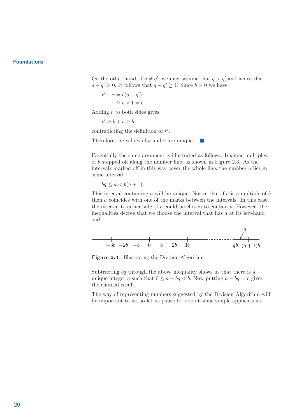On the other hand, if  $q \neq q'$ , we may assume that  $q > q'$  and hence that  $q - q' > 0$ . It follows that  $q - q' \geq 1$ . Since  $b > 0$  we have

$$
r' - r = b(q - q')
$$
  
\n
$$
\geq b \times 1 = b.
$$

Adding  $r$  to both sides gives

$$
r'\geq b+r\geq b,
$$

contradicting the definition of  $r'$ .

Therefore the values of  $q$  and  $r$  are unique.  $\sim$ 

Essentially the same argument is illustrated as follows. Imagine multiples of b stepped off along the number line, as shown in Figure 2.3. As the intervals marked off in this way cover the whole line, the number  $a$  lies in some interval

$$
bq \le a < b(q+1).
$$

This interval containing  $a$  will be unique. Notice that if  $a$  is a multiple of  $b$ then a coincides with one of the marks between the intervals. In this case, the interval to either side of a could be chosen to contain a. However, the inequalities decree that we choose the interval that has  $a$  at its left-hand end.



Figure 2.3 Illustrating the Division Algorithm

Subtracting bq through the above inequality shows us that there is a unique integer q such that  $0 \le a - bq < b$ . Now putting  $a - bq = r$  gives the claimed result.

The way of representing numbers suggested by the Division Algorithm will be important to us, so let us pause to look at some simple applications.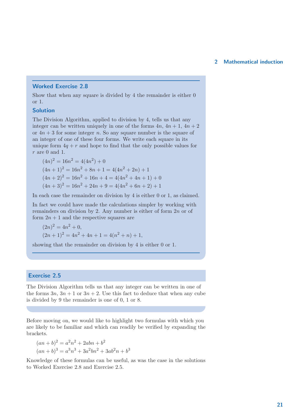#### Worked Exercise 2.8

Show that when any square is divided by 4 the remainder is either 0 or 1.

#### Solution

The Division Algorithm, applied to division by 4, tells us that any integer can be written uniquely in one of the forms  $4n$ ,  $4n + 1$ ,  $4n + 2$ or  $4n + 3$  for some integer n. So any square number is the square of an integer of one of these four forms. We write each square in its unique form  $4q + r$  and hope to find that the only possible values for  $r$  are 0 and 1.

 $(4n)^2 = 16n^2 = 4(4n^2) + 0$  $(4n+1)^2 = 16n^2 + 8n + 1 = 4(4n^2 + 2n) + 1$  $(4n+2)^2 = 16n^2 + 16n + 4 = 4(4n^2 + 4n + 1) + 0$  $(4n+3)^2 = 16n^2 + 24n + 9 = 4(4n^2 + 6n + 2) + 1$ 

In each case the remainder on division by 4 is either 0 or 1, as claimed.

In fact we could have made the calculations simpler by working with remainders on division by 2. Any number is either of form 2n or of form  $2n + 1$  and the respective squares are

$$
(2n)^{2} = 4n^{2} + 0,
$$
  
\n
$$
(2n + 1)^{2} = 4n^{2} + 4n + 1 = 4(n^{2} + n) + 1,
$$

showing that the remainder on division by 4 is either 0 or 1.

#### Exercise 2.5

The Division Algorithm tells us that any integer can be written in one of the forms  $3n$ ,  $3n + 1$  or  $3n + 2$ . Use this fact to deduce that when any cube is divided by 9 the remainder is one of 0, 1 or 8.

Before moving on, we would like to highlight two formulas with which you are likely to be familiar and which can readily be verified by expanding the brackets.

$$
(an + b)2 = a2n2 + 2abn + b2
$$

$$
(an + b)3 = a3n3 + 3a2bn2 + 3ab2n + b3
$$

Knowledge of these formulas can be useful, as was the case in the solutions to Worked Exercise 2.8 and Exercise 2.5.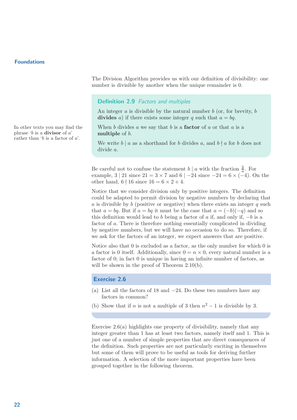phrase 'b is a **divisor** of  $a$ ' rather than 'b is a factor of  $a'$ . The Division Algorithm provides us with our definition of divisibility: one number is divisible by another when the unique remainder is 0.

#### Definition 2.9 Factors and multiples

An integer  $a$  is divisible by the natural number  $b$  (or, for brevity,  $b$ ) divides a) if there exists some integer q such that  $a = bq$ .

In other texts you may find the When b divides a we say that b is a **factor** of a or that a is a multiple of  $b$ .

> We write  $b \mid a$  as a shorthand for b divides a, and  $b \nmid a$  for b does not divide a.

Be careful not to confuse the statement  $b \mid a$  with the fraction  $\frac{b}{a}$ . For example, 3 | 21 since  $21 = 3 \times 7$  and  $6$  |  $-24$  since  $-24 = 6 \times (-4)$ . On the other hand,  $6 \nmid 16$  since  $16 = 6 \times 2 + 4$ .

Notice that we consider division only by positive integers. The definition could be adapted to permit division by negative numbers by declaring that  $a$  is divisible by  $b$  (positive or negative) when there exists an integer  $q$  such that  $a = bq$ . But if  $a = bq$  it must be the case that  $a = (-b)(-q)$  and so this definition would lead to b being a factor of a if, and only if,  $-b$  is a factor of a. There is therefore nothing essentially complicated in dividing by negative numbers, but we will have no occasion to do so. Therefore, if we ask for the factors of an integer, we expect answers that are positive.

Notice also that 0 is excluded as a factor, as the only number for which 0 is a factor is 0 itself. Additionally, since  $0 = n \times 0$ , every natural number is a factor of 0; in fact 0 is unique in having an infinite number of factors, as will be shown in the proof of Theorem 2.10(b).

#### Exercise 2.6

- (a) List all the factors of 18 and −24. Do these two numbers have any factors in common?
- (b) Show that if n is not a multiple of 3 then  $n^2 1$  is divisible by 3.

Exercise 2.6(a) highlights one property of divisibility, namely that any integer greater than 1 has at least two factors, namely itself and 1. This is just one of a number of simple properties that are direct consequences of the definition. Such properties are not particularly exciting in themselves but some of them will prove to be useful as tools for deriving further information. A selection of the more important properties have been grouped together in the following theorem.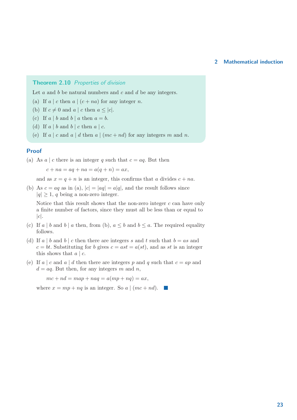#### Theorem 2.10 Properties of division

Let  $a$  and  $b$  be natural numbers and  $c$  and  $d$  be any integers.

(a) If  $a \mid c$  then  $a \mid (c + na)$  for any integer n.

- (b) If  $c \neq 0$  and  $a \mid c$  then  $a \leq |c|$ .
- (c) If  $a \mid b$  and  $b \mid a$  then  $a = b$ .
- (d) If  $a \mid b$  and  $b \mid c$  then  $a \mid c$ .
- (e) If a | c and a | d then a |  $(mc + nd)$  for any integers m and n.

#### Proof

(a) As  $a \mid c$  there is an integer q such that  $c = aq$ . But then

 $c + na = aq + na = a(q + n) = ax,$ 

and as  $x = q + n$  is an integer, this confirms that a divides  $c + na$ .

(b) As  $c = aq$  as in (a),  $|c| = |aq| = a|q|$ , and the result follows since  $|q| \geq 1$ , q being a non-zero integer.

Notice that this result shows that the non-zero integer  $c$  can have only a finite number of factors, since they must all be less than or equal to  $|c|$ .

- (c) If a | b and b | a then, from (b),  $a \leq b$  and  $b \leq a$ . The required equality follows.
- (d) If a | b and b | c then there are integers s and t such that  $b = as$  and  $c = bt$ . Substituting for b gives  $c = ast = a(st)$ , and as st is an integer this shows that  $a \mid c$ .
- (e) If a | c and a | d then there are integers p and q such that  $c = ap$  and  $d = aq$ . But then, for any integers m and n,

 $mc + nd = map + naq = a(mp + nq) = ax,$ 

where  $x = mp + nq$  is an integer. So a  $|(mc + nd)$ .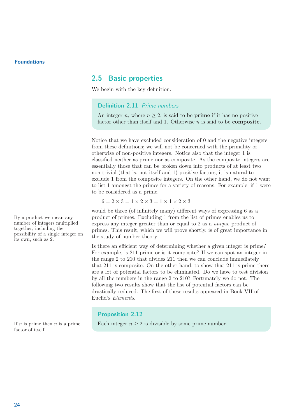#### 2.5 Basic properties

We begin with the key definition.

#### Definition 2.11 Prime numbers

An integer *n*, where  $n \geq 2$ , is said to be **prime** if it has no positive factor other than itself and 1. Otherwise  $n$  is said to be **composite**.

Notice that we have excluded consideration of 0 and the negative integers from these definitions; we will not be concerned with the primality or otherwise of non-positive integers. Notice also that the integer 1 is classified neither as prime nor as composite. As the composite integers are essentially those that can be broken down into products of at least two non-trivial (that is, not itself and 1) positive factors, it is natural to exclude 1 from the composite integers. On the other hand, we do not want to list 1 amongst the primes for a variety of reasons. For example, if 1 were to be considered as a prime,

 $6 = 2 \times 3 = 1 \times 2 \times 3 = 1 \times 1 \times 2 \times 3$ 

would be three (of infinitely many) different ways of expressing 6 as a By a product we mean any product of primes. Excluding 1 from the list of primes enables us to express any integer greater than or equal to 2 as a unique product of primes. This result, which we will prove shortly, is of great importance in the study of number theory.

> Is there an efficient way of determining whether a given integer is prime? For example, is 211 prime or is it composite? If we can spot an integer in the range 2 to 210 that divides 211 then we can conclude immediately that 211 is composite. On the other hand, to show that 211 is prime there are a lot of potential factors to be eliminated. Do we have to test division by all the numbers in the range 2 to 210? Fortunately we do not. The following two results show that the list of potential factors can be drastically reduced. The first of these results appeared in Book VII of Euclid's Elements.

#### Proposition 2.12

If n is prime then n is a prime Each integer  $n \geq 2$  is divisible by some prime number.

number of integers multiplied together, including the possibility of a single integer on its own, such as 2.

factor of itself.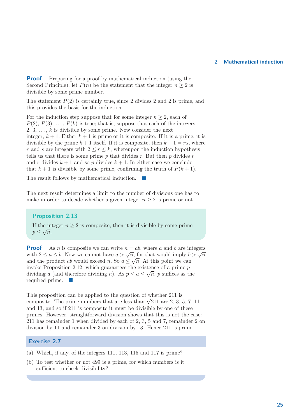**Proof** Preparing for a proof by mathematical induction (using the Second Principle), let  $P(n)$  be the statement that the integer  $n \geq 2$  is divisible by some prime number.

The statement  $P(2)$  is certainly true, since 2 divides 2 and 2 is prime, and this provides the basis for the induction.

For the induction step suppose that for some integer  $k \geq 2$ , each of  $P(2), P(3), \ldots, P(k)$  is true; that is, suppose that each of the integers 2, 3,  $\dots$ , k is divisible by some prime. Now consider the next integer,  $k + 1$ . Either  $k + 1$  is prime or it is composite. If it is a prime, it is divisible by the prime  $k+1$  itself. If it is composite, then  $k+1 = rs$ , where r and s are integers with  $2 \le r \le k$ , whereupon the induction hypothesis tells us that there is some prime  $p$  that divides  $r$ . But then  $p$  divides  $r$ and r divides  $k + 1$  and so p divides  $k + 1$ . In either case we conclude that  $k+1$  is divisible by some prime, confirming the truth of  $P(k+1)$ .

The result follows by mathematical induction.  $\sim$ 

The next result determines a limit to the number of divisions one has to make in order to decide whether a given integer  $n \geq 2$  is prime or not.

#### Proposition 2.13

If the integer  $n \geq 2$  is composite, then it is divisible by some prime  $p \leq \sqrt{n}$ .

**Proof** As *n* is composite we can write  $n = ab$ , where *a* and *b* are integers with  $2 \le a \le b$ . Now we cannot have  $a > \sqrt{n}$ , for that would imply  $b > \sqrt{n}$ and the product ab would exceed n. So  $a \leq \sqrt{n}$ . At this point we can invoke Proposition 2.12, which guarantees the existence of a prime  $p$ dividing a (and therefore dividing n). As  $p \le a \le \sqrt{n}$ , p suffices as the required prime.

This proposition can be applied to the question of whether 211 is composite. The prime numbers that are less than  $\sqrt{211}$  are 2, 3, 5, 7, 11 and 13, and so if 211 is composite it must be divisible by one of these primes. However, straightforward division shows that this is not the case: 211 has remainder 1 when divided by each of 2, 3, 5 and 7, remainder 2 on division by 11 and remainder 3 on division by 13. Hence 211 is prime.

#### Exercise 2.7

- (a) Which, if any, of the integers 111, 113, 115 and 117 is prime?
- (b) To test whether or not 499 is a prime, for which numbers is it sufficient to check divisibility?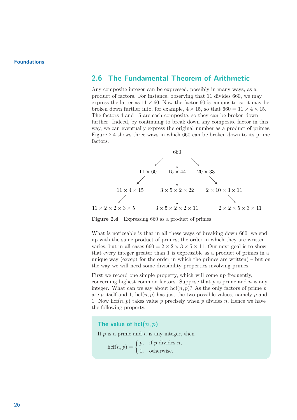#### 2.6 The Fundamental Theorem of Arithmetic

Any composite integer can be expressed, possibly in many ways, as a product of factors. For instance, observing that 11 divides 660, we may express the latter as  $11 \times 60$ . Now the factor 60 is composite, so it may be broken down further into, for example,  $4 \times 15$ , so that  $660 = 11 \times 4 \times 15$ . The factors 4 and 15 are each composite, so they can be broken down further. Indeed, by continuing to break down any composite factor in this way, we can eventually express the original number as a product of primes. Figure 2.4 shows three ways in which 660 can be broken down to its prime factors.



Figure 2.4 Expressing 660 as a product of primes

What is noticeable is that in all these ways of breaking down 660, we end up with the same product of primes; the order in which they are written varies, but in all cases  $660 = 2 \times 2 \times 3 \times 5 \times 11$ . Our next goal is to show that every integer greater than 1 is expressible as a product of primes in a unique way (except for the order in which the primes are written) – but on the way we will need some divisibility properties involving primes.

First we record one simple property, which will come up frequently, concerning highest common factors. Suppose that  $p$  is prime and  $n$  is any integer. What can we say about  $\mathrm{hcf}(n, p)$ ? As the only factors of prime p are p itself and 1, hcf $(n, p)$  has just the two possible values, namely p and 1. Now hcf $(n, p)$  takes value p precisely when p divides n. Hence we have the following property.

The value of hcf $(n, p)$ If  $p$  is a prime and  $n$  is any integer, then  $\text{hcf}(n, p) = \begin{cases} p, & \text{if } p \text{ divides } n, \\ 1 & \text{otherwise.} \end{cases}$ 1, otherwise.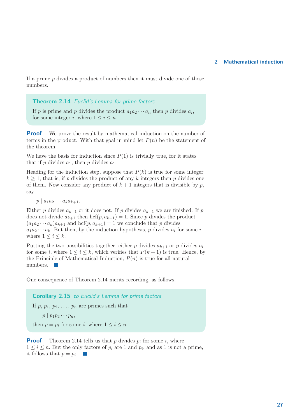If a prime  $p$  divides a product of numbers then it must divide one of those numbers.

#### Theorem 2.14 Euclid's Lemma for prime factors

If p is prime and p divides the product  $a_1 a_2 \cdots a_n$  then p divides  $a_i$ , for some integer i, where  $1 \leq i \leq n$ .

**Proof** We prove the result by mathematical induction on the number of terms in the product. With that goal in mind let  $P(n)$  be the statement of the theorem.

We have the basis for induction since  $P(1)$  is trivially true, for it states that if p divides  $a_1$ , then p divides  $a_1$ .

Heading for the induction step, suppose that  $P(k)$  is true for some integer  $k \geq 1$ , that is, if p divides the product of any k integers then p divides one of them. Now consider any product of  $k+1$  integers that is divisible by p, say

 $p \mid a_1 a_2 \cdots a_k a_{k+1}.$ 

Either p divides  $a_{k+1}$  or it does not. If p divides  $a_{k+1}$  we are finished. If p does not divide  $a_{k+1}$  then  $\mathrm{hcf}(p, a_{k+1}) = 1$ . Since p divides the product  $(a_1a_2 \cdots a_k)a_{k+1}$  and  $hcf(p, a_{k+1}) = 1$  we conclude that p divides  $a_1 a_2 \cdots a_k$ . But then, by the induction hypothesis, p divides  $a_i$  for some i, where  $1 \leq i \leq k$ .

Putting the two possibilities together, either p divides  $a_{k+1}$  or p divides  $a_i$ for some i, where  $1 \leq i \leq k$ , which verifies that  $P(k+1)$  is true. Hence, by the Principle of Mathematical Induction,  $P(n)$  is true for all natural numbers.

One consequence of Theorem 2.14 merits recording, as follows.

Corollary 2.15 to Euclid's Lemma for prime factors

If p,  $p_1, p_2, \ldots, p_n$  are primes such that

 $p \mid p_1 p_2 \cdots p_n,$ 

then  $p = p_i$  for some *i*, where  $1 \le i \le n$ .

**Proof** Theorem 2.14 tells us that p divides  $p_i$  for some i, where  $1 \leq i \leq n$ . But the only factors of  $p_i$  are 1 and  $p_i$ , and as 1 is not a prime, it follows that  $p = p_i$ .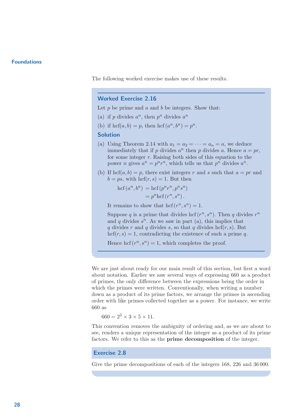The following worked exercise makes use of these results.

#### Worked Exercise 2.16

Let  $p$  be prime and  $a$  and  $b$  be integers. Show that:

- (a) if p divides  $a^n$ , then  $p^n$  divides  $a^n$
- (b) if  $\mathrm{hcf}(a,b) = p$ , then  $\mathrm{hcf}(a^n, b^n) = p^n$ .

#### Solution

- (a) Using Theorem 2.14 with  $a_1 = a_2 = \cdots = a_n = a$ , we deduce immediately that if p divides  $a^n$  then p divides a. Hence  $a = pr$ , for some integer  $r$ . Raising both sides of this equation to the power *n* gives  $a^n = p^n r^n$ , which tells us that  $p^n$  divides  $a^n$ .
- (b) If hcf $(a, b) = p$ , there exist integers r and s such that  $a = pr$  and  $b = ps$ , with  $\text{hcf}(r, s) = 1$ . But then

$$
hcf(a^n, b^n) = hcf(p^n r^n, p^n s^n)
$$
  
=  $p^n hcf(r^n, s^n)$ .

It remains to show that  $\mathrm{hcf}(r^n, s^n) = 1$ .

Suppose q is a prime that divides hcf  $(r^n, s^n)$ . Then q divides  $r^n$ and q divides  $s^n$ . As we saw in part (a), this implies that q divides r and q divides s, so that q divides hcf $(r, s)$ . But  $hcf(r, s) = 1$ , contradicting the existence of such a prime q.

Hence  $\mathrm{hcf}(r^n, s^n) = 1$ , which completes the proof.

We are just about ready for our main result of this section, but first a word about notation. Earlier we saw several ways of expressing 660 as a product of primes, the only difference between the expressions being the order in which the primes were written. Conventionally, when writing a number down as a product of its prime factors, we arrange the primes in ascending order with like primes collected together as a power. For instance, we write 660 as

 $660 = 2^2 \times 3 \times 5 \times 11$ .

This convention removes the ambiguity of ordering and, as we are about to see, renders a unique representation of the integer as a product of its prime factors. We refer to this as the **prime decomposition** of the integer.

#### Exercise 2.8

Give the prime decompositions of each of the integers 168, 226 and 36 000.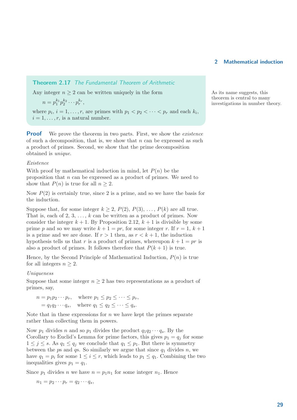Theorem 2.17 The Fundamental Theorem of Arithmetic

Any integer  $n \geq 2$  can be written uniquely in the form As its name suggests, this

$$
n=p_1^{k_1}p_2^{k_2}\cdots p_r^{k_r},
$$

where  $p_i$ ,  $i = 1, \ldots, r$ , are primes with  $p_1 < p_2 < \cdots < p_r$  and each  $k_i$ ,  $i = 1, \ldots, r$ , is a natural number.

**Proof** We prove the theorem in two parts. First, we show the *existence* of such a decomposition, that is, we show that  $n$  can be expressed as such a product of primes. Second, we show that the prime decomposition obtained is unique.

#### Existence

With proof by mathematical induction in mind, let  $P(n)$  be the proposition that  $n$  can be expressed as a product of primes. We need to show that  $P(n)$  is true for all  $n \geq 2$ .

Now  $P(2)$  is certainly true, since 2 is a prime, and so we have the basis for the induction.

Suppose that, for some integer  $k \ge 2$ ,  $P(2)$ ,  $P(3)$ , ...,  $P(k)$  are all true. That is, each of 2, 3,  $\dots$ , k can be written as a product of primes. Now consider the integer  $k + 1$ . By Proposition 2.12,  $k + 1$  is divisible by some prime p and so we may write  $k + 1 = pr$ , for some integer r. If  $r = 1, k + 1$ is a prime and we are done. If  $r > 1$  then, as  $r < k + 1$ , the induction hypothesis tells us that r is a product of primes, whereupon  $k + 1 = pr$  is also a product of primes. It follows therefore that  $P(k+1)$  is true.

Hence, by the Second Principle of Mathematical Induction,  $P(n)$  is true for all integers  $n \geq 2$ .

#### Uniqueness

Suppose that some integer  $n \geq 2$  has two representations as a product of primes, say,

$$
n = p_1 p_2 \cdots p_r, \quad \text{where } p_1 \le p_2 \le \cdots \le p_r,
$$
  
=  $q_1 q_2 \cdots q_s$ , where  $q_1 \le q_2 \le \cdots \le q_s$ .

Note that in these expressions for  $n$  we have kept the primes separate rather than collecting them in powers.

Now  $p_1$  divides n and so  $p_1$  divides the product  $q_1q_2 \cdots q_s$ . By the Corollary to Euclid's Lemma for prime factors, this gives  $p_1 = q_i$  for some  $1 \leq j \leq s$ . As  $q_1 \leq q_j$  we conclude that  $q_1 \leq p_1$ . But there is symmetry between the  $p$ s and  $q$ s. So similarly we argue that since  $q_1$  divides  $n$ , we have  $q_1 = p_i$  for some  $1 \leq i \leq r$ , which leads to  $p_1 \leq q_1$ . Combining the two inequalities gives  $p_1 = q_1$ .

Since  $p_1$  divides n we have  $n = p_1 n_1$  for some integer  $n_1$ . Hence

$$
n_1=p_2\cdots p_r=q_2\cdots q_s,
$$

theorem is central to many investigations in number theory.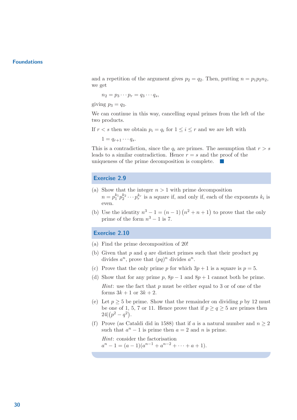and a repetition of the argument gives  $p_2 = q_2$ . Then, putting  $n = p_1p_2n_2$ , we get

$$
n_2=p_3\cdots p_r=q_3\cdots q_s,
$$

giving  $p_3 = q_3$ .

We can continue in this way, cancelling equal primes from the left of the two products.

If  $r < s$  then we obtain  $p_i = q_i$  for  $1 \leq i \leq r$  and we are left with

 $1 = q_{r+1} \cdots q_s.$ 

This is a contradiction, since the  $q_i$  are primes. The assumption that  $r > s$ leads to a similar contradiction. Hence  $r = s$  and the proof of the uniqueness of the prime decomposition is complete.

#### Exercise 2.9

- (a) Show that the integer  $n > 1$  with prime decomposition  $n = p_1^{k_1} p_2^{k_2} \cdots p_r^{k_r}$  is a square if, and only if, each of the exponents  $k_i$  is even.
- (b) Use the identity  $n^3 1 = (n 1)(n^2 + n + 1)$  to prove that the only prime of the form  $n^3 - 1$  is 7.

#### Exercise 2.10

- (a) Find the prime decomposition of 20!
- (b) Given that p and q are distinct primes such that their product  $pq$ divides  $a^n$ , prove that  $(pq)^n$  divides  $a^n$ .
- (c) Prove that the only prime p for which  $3p + 1$  is a square is  $p = 5$ .
- (d) Show that for any prime p,  $8p 1$  and  $8p + 1$  cannot both be prime.

*Hint*: use the fact that  $p$  must be either equal to 3 or of one of the forms  $3k + 1$  or  $3k + 2$ .

- (e) Let  $p \geq 5$  be prime. Show that the remainder on dividing p by 12 must be one of 1, 5, 7 or 11. Hence prove that if  $p \ge q \ge 5$  are primes then  $24|(p^2-q^2).$
- (f) Prove (as Cataldi did in 1588) that if a is a natural number and  $n \geq 2$ such that  $a^n - 1$  is prime then  $a = 2$  and n is prime.

Hint: consider the factorisation  $a^{n} - 1 = (a - 1)(a^{n-1} + a^{n-2} + \cdots + a + 1).$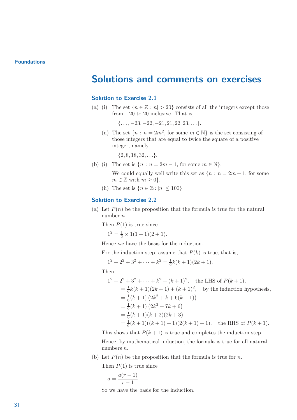### Solutions and comments on exercises

#### Solution to Exercise 2.1

(a) (i) The set  ${n \in \mathbb{Z} : |n| > 20}$  consists of all the integers except those from  $-20$  to 20 inclusive. That is,

 $\{\ldots, -23, -22, -21, 21, 22, 23, \ldots\}.$ 

(ii) The set  $\{n : n = 2m^2, \text{ for some } m \in \mathbb{N}\}\$ is the set consisting of those integers that are equal to twice the square of a positive integer, namely

 $\{2, 8, 18, 32, \ldots\}.$ 

- (b) (i) The set is  $\{n : n = 2m 1, \text{ for some } m \in \mathbb{N}\}.$ 
	- We could equally well write this set as  ${n : n = 2m + 1}$ , for some  $m \in \mathbb{Z}$  with  $m \geq 0$ .
	- (ii) The set is  $\{n \in \mathbb{Z} : |n| \leq 100\}$ .

#### Solution to Exercise 2.2

(a) Let  $P(n)$  be the proposition that the formula is true for the natural number n.

Then  $P(1)$  is true since

 $1^2 = \frac{1}{6} \times 1(1+1)(2+1).$ 

Hence we have the basis for the induction.

For the induction step, assume that  $P(k)$  is true, that is,

$$
1^2 + 2^2 + 3^2 + \dots + k^2 = \frac{1}{6}k(k+1)(2k+1).
$$

Then

$$
1^2 + 2^2 + 3^2 + \dots + k^2 + (k+1)^2
$$
, the LHS of  $P(k+1)$ ,  
\n
$$
= \frac{1}{6}k(k+1)(2k+1) + (k+1)^2
$$
, by the induction hypothesis,  
\n
$$
= \frac{1}{6}(k+1)(2k^2 + k + 6(k+1))
$$
  
\n
$$
= \frac{1}{6}(k+1)(2k^2 + 7k + 6)
$$
  
\n
$$
= \frac{1}{6}(k+1)(k+2)(2k+3)
$$
  
\n
$$
= \frac{1}{6}(k+1)((k+1) + 1)(2(k+1) + 1)
$$
, the RHS of  $P(k+1)$ .

This shows that  $P(k + 1)$  is true and completes the induction step. Hence, by mathematical induction, the formula is true for all natural numbers n.

(b) Let  $P(n)$  be the proposition that the formula is true for n.

Then  $P(1)$  is true since

$$
a = \frac{a(r-1)}{r-1}.
$$

So we have the basis for the induction.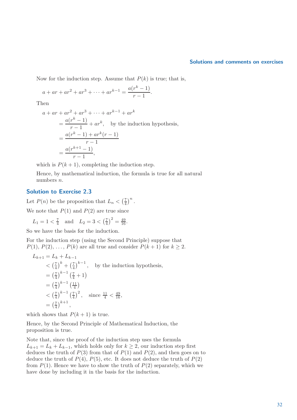#### Solutions and comments on exercises

Now for the induction step. Assume that  $P(k)$  is true; that is,

$$
a + ar + ar2 + ar3 + \dots + ark-1 = \frac{a(rk - 1)}{r - 1}.
$$

Then

$$
a + ar + ar2 + ar3 + \dots + ark-1 + ark
$$
  
= 
$$
\frac{a(rk - 1)}{r - 1} + ark
$$
, by the induction hypothesis,  
= 
$$
\frac{a(rk - 1) + ark(r - 1)}{r - 1}
$$
  
= 
$$
\frac{a(rk+1 - 1)}{r - 1}
$$
,

which is  $P(k + 1)$ , completing the induction step.

Hence, by mathematical induction, the formula is true for all natural numbers n.

#### Solution to Exercise 2.3

Let  $P(n)$  be the proposition that  $L_n < \left(\frac{7}{4}\right)$  $\frac{7}{4}$  $\Big)^n$ .

We note that  $P(1)$  and  $P(2)$  are true since

$$
L_1 = 1 < \frac{7}{4}
$$
 and  $L_2 = 3 < (\frac{7}{4})^2 = \frac{49}{16}$ .

So we have the basis for the induction.

For the induction step (using the Second Principle) suppose that  $P(1), P(2), \ldots, P(k)$  are all true and consider  $P(k+1)$  for  $k \geq 2$ .

$$
L_{k+1} = L_k + L_{k-1}
$$
  
\n
$$
< \left(\frac{7}{4}\right)^k + \left(\frac{7}{4}\right)^{k-1}, \text{ by the induction hypothesis,}
$$
  
\n
$$
= \left(\frac{7}{4}\right)^{k-1} \left(\frac{7}{4} + 1\right)
$$
  
\n
$$
= \left(\frac{7}{4}\right)^{k-1} \left(\frac{11}{4}\right)
$$
  
\n
$$
< \left(\frac{7}{4}\right)^{k-1} \left(\frac{7}{4}\right)^2, \text{ since } \frac{11}{4} < \frac{49}{16},
$$
  
\n
$$
= \left(\frac{7}{4}\right)^{k+1},
$$

which shows that  $P(k + 1)$  is true.

Hence, by the Second Principle of Mathematical Induction, the proposition is true.

Note that, since the proof of the induction step uses the formula  $L_{k+1} = L_k + L_{k-1}$ , which holds only for  $k \geq 2$ , our induction step first deduces the truth of  $P(3)$  from that of  $P(1)$  and  $P(2)$ , and then goes on to deduce the truth of  $P(4)$ ,  $P(5)$ , etc. It does not deduce the truth of  $P(2)$ from  $P(1)$ . Hence we have to show the truth of  $P(2)$  separately, which we have done by including it in the basis for the induction.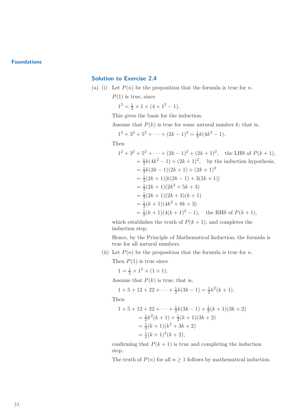#### Solution to Exercise 2.4

- (a) (i) Let  $P(n)$  be the proposition that the formula is true for n.
	- $P(1)$  is true, since
		- $1^2 = \frac{1}{3} \times 1 \times (4 \times 1^2 1).$

This gives the basis for the induction.

Assume that  $P(k)$  is true for some natural number k; that is,

$$
1^2 + 3^2 + 5^2 + \dots + (2k - 1)^2 = \frac{1}{3}k(4k^2 - 1).
$$

Then

$$
1^2 + 3^2 + 5^2 + \dots + (2k - 1)^2 + (2k + 1)^2
$$
, the LHS of  $P(k + 1)$ ,  
\n
$$
= \frac{1}{3}k(4k^2 - 1) + (2k + 1)^2
$$
, by the induction hypothesis,  
\n
$$
= \frac{1}{3}k(2k - 1)(2k + 1) + (2k + 1)^2
$$
  
\n
$$
= \frac{1}{3}(2k + 1)[k(2k - 1) + 3(2k + 1)]
$$
  
\n
$$
= \frac{1}{3}(2k + 1)(2k^2 + 5k + 3)
$$
  
\n
$$
= \frac{1}{3}(2k + 1)(2k + 3)(k + 1)
$$
  
\n
$$
= \frac{1}{3}(k + 1)(4k^2 + 8k + 3)
$$
  
\n
$$
= \frac{1}{3}(k + 1)(4(k + 1)^2 - 1)
$$
, the RHS of  $P(k + 1)$ ,

which establishes the truth of  $P(k + 1)$ , and completes the induction step.

Hence, by the Principle of Mathematical Induction, the formula is true for all natural numbers.

(ii) Let  $P(n)$  be the proposition that the formula is true for n.

Then  $P(1)$  is true since

 $1 = \frac{1}{2} \times 1^2 \times (1 + 1).$ 

Assume that  $P(k)$  is true; that is,

 $1 + 5 + 12 + 22 + \cdots + \frac{1}{2}$  $\frac{1}{2}k(3k-1) = \frac{1}{2}k^2(k+1).$ 

Then

$$
1 + 5 + 12 + 22 + \dots + \frac{1}{2}k(3k - 1) + \frac{1}{2}(k + 1)(3k + 2)
$$
  
=  $\frac{1}{2}k^2(k + 1) + \frac{1}{2}(k + 1)(3k + 2)$   
=  $\frac{1}{2}(k + 1)(k^2 + 3k + 2)$   
=  $\frac{1}{2}(k + 1)^2(k + 2)$ ,

confirming that  $P(k + 1)$  is true and completing the induction step.

The truth of  $P(n)$  for all  $n \geq 1$  follows by mathematical induction.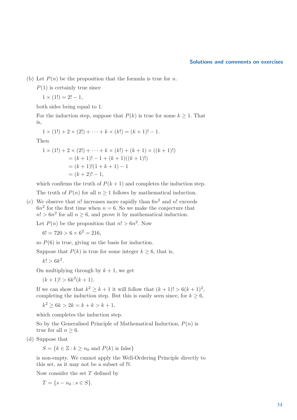#### Solutions and comments on exercises

(b) Let  $P(n)$  be the proposition that the formula is true for n.

 $P(1)$  is certainly true since

$$
1 \times (1!) = 2! - 1,
$$

both sides being equal to 1.

For the induction step, suppose that  $P(k)$  is true for some  $k \geq 1$ . That is,

$$
1 \times (1!) + 2 \times (2!) + \cdots + k \times (k!) = (k+1)! - 1.
$$

Then

$$
1 \times (1!) + 2 \times (2!) + \dots + k \times (k!) + (k+1) \times ((k+1)!)
$$
  
= (k+1)! - 1 + (k+1)((k+1)!)  
= (k+1)!(1+k+1) - 1  
= (k+2)! - 1,

which confirms the truth of  $P(k + 1)$  and completes the induction step.

The truth of  $P(n)$  for all  $n \geq 1$  follows by mathematical induction.

(c) We observe that n! increases more rapidly than  $6n^2$  and n! exceeds  $6n<sup>2</sup>$  for the first time when  $n = 6$ . So we make the conjecture that  $n! > 6n^2$  for all  $n \ge 6$ , and prove it by mathematical induction.

Let  $P(n)$  be the proposition that  $n! > 6n^2$ . Now

 $6! = 720 > 6 \times 6^2 = 216,$ 

so  $P(6)$  is true, giving us the basis for induction.

Suppose that  $P(k)$  is true for some integer  $k \geq 6$ , that is,

$$
k! > 6k^2.
$$

On multiplying through by  $k + 1$ , we get

 $(k+1)!$  > 6 $k^2(k+1)$ .

If we can show that  $k^2 \geq k+1$  it will follow that  $(k+1)! > 6(k+1)^2$ , completing the induction step. But this is easily seen since, for  $k \geq 6$ ,

 $k^2 \ge 6k > 2k = k + k > k + 1,$ 

which completes the induction step.

So by the Generalised Principle of Mathematical Induction,  $P(n)$  is true for all  $n > 6$ .

(d) Suppose that

 $S = \{k \in \mathbb{Z} : k \geq n_0 \text{ and } P(k) \text{ is false}\}\$ 

is non-empty. We cannot apply the Well-Ordering Principle directly to this set, as it may not be a subset of N.

Now consider the set  $T$  defined by

 $T = \{s - n_0 : s \in S\}.$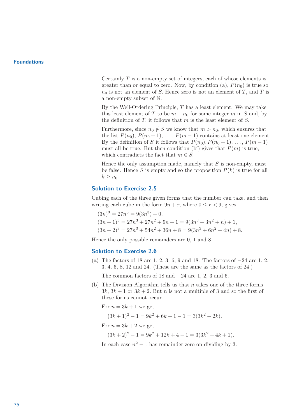Certainly  $T$  is a non-empty set of integers, each of whose elements is greater than or equal to zero. Now, by condition (a),  $P(n_0)$  is true so  $n_0$  is not an element of S. Hence zero is not an element of T, and T is a non-empty subset of N.

By the Well-Ordering Principle,  $T$  has a least element. We may take this least element of T to be  $m - n_0$  for some integer m in S and, by the definition of  $T$ , it follows that  $m$  is the least element of  $S$ .

Furthermore, since  $n_0 \notin S$  we know that  $m > n_0$ , which ensures that the list  $P(n_0)$ ,  $P(n_0 + 1)$ , ...,  $P(m-1)$  contains at least one element. By the definition of S it follows that  $P(n_0), P(n_0 + 1), \ldots, P(m-1)$ must all be true. But then condition (b') gives that  $P(m)$  is true, which contradicts the fact that  $m \in S$ .

Hence the only assumption made, namely that  $S$  is non-empty, must be false. Hence S is empty and so the proposition  $P(k)$  is true for all  $k \geq n_0$ .

#### Solution to Exercise 2.5

Cubing each of the three given forms that the number can take, and then writing each cube in the form  $9n + r$ , where  $0 \le r < 9$ , gives

$$
(3n)3 = 27n3 = 9(3n3) + 0,
$$
  
\n
$$
(3n + 1)3 = 27n3 + 27n2 + 9n + 1 = 9(3n3 + 3n2 + n) + 1,
$$
  
\n
$$
(3n + 2)3 = 27n3 + 54n2 + 36n + 8 = 9(3n3 + 6n2 + 4n) + 8.
$$

Hence the only possible remainders are 0, 1 and 8.

#### Solution to Exercise 2.6

- (a) The factors of 18 are 1, 2, 3, 6, 9 and 18. The factors of −24 are 1, 2, 3, 4, 6, 8, 12 and 24. (These are the same as the factors of 24.) The common factors of 18 and  $-24$  are 1, 2, 3 and 6.
- (b) The Division Algorithm tells us that  $n$  takes one of the three forms  $3k$ ,  $3k + 1$  or  $3k + 2$ . But *n* is not a multiple of 3 and so the first of these forms cannot occur.

For  $n = 3k + 1$  we get

$$
(3k+1)^2 - 1 = 9k^2 + 6k + 1 - 1 = 3(3k^2 + 2k).
$$

For  $n = 3k + 2$  we get

 $(3k+2)^{2} - 1 = 9k^{2} + 12k + 4 - 1 = 3(3k^{2} + 4k + 1).$ 

In each case  $n^2 - 1$  has remainder zero on dividing by 3.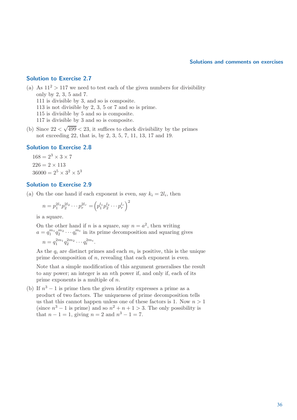#### Solutions and comments on exercises

#### Solution to Exercise 2.7

(a) As  $11^2 > 117$  we need to test each of the given numbers for divisibility only by 2, 3, 5 and 7. 111 is divisible by 3, and so is composite. 113 is not divisible by 2, 3, 5 or 7 and so is prime. 115 is divisible by 5 and so is composite. 117 is divisible by 3 and so is composite.

(b) Since  $22 < \sqrt{499} < 23$ , it suffices to check divisibility by the primes not exceeding 22, that is, by 2, 3, 5, 7, 11, 13, 17 and 19.

#### Solution to Exercise 2.8

 $168 = 2^3 \times 3 \times 7$  $226 = 2 \times 113$  $36000 = 2^5 \times 3^2 \times 5^3$ 

#### Solution to Exercise 2.9

(a) On the one hand if each exponent is even, say  $k_i = 2l_i$ , then

$$
n = p_1^{2l_1} p_2^{2l_2} \cdots p_r^{2l_r} = \left( p_1^{l_1} p_2^{l_2} \cdots p_r^{l_r} \right)^2
$$

is a square.

On the other hand if *n* is a square, say  $n = a^2$ , then writing  $a = q_1^{m_1}$  $\binom{m_1}{1} q_2^{m_2}$  $\sum_{2}^{m_2} \cdots q_t^{m_t}$  in its prime decomposition and squaring gives  $n = q_1^{2m_1} q_2^{2m_2} \cdots q_t^{2m_t}.$ 

As the  $q_i$  are distinct primes and each  $m_i$  is positive, this is the unique prime decomposition of n, revealing that each exponent is even.

Note that a simple modification of this argument generalises the result to any power; an integer is an nth power if, and only if, each of its prime exponents is a multiple of  $n$ .

(b) If  $n^3 - 1$  is prime then the given identity expresses a prime as a product of two factors. The uniqueness of prime decomposition tells us that this cannot happen unless one of these factors is 1. Now  $n > 1$ (since  $n^3 - 1$  is prime) and so  $n^2 + n + 1 > 3$ . The only possibility is that  $n - 1 = 1$ , giving  $n = 2$  and  $n^3 - 1 = 7$ .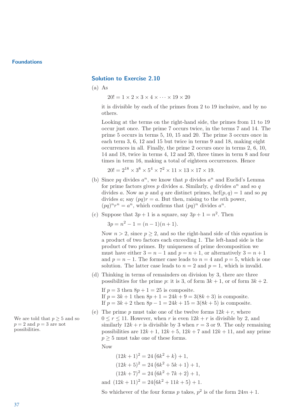#### Solution to Exercise 2.10

(a) As

 $20! = 1 \times 2 \times 3 \times 4 \times \cdots \times 19 \times 20$ 

it is divisible by each of the primes from 2 to 19 inclusive, and by no others.

Looking at the terms on the right-hand side, the primes from 11 to 19 occur just once. The prime 7 occurs twice, in the terms 7 and 14. The prime 5 occurs in terms 5, 10, 15 and 20. The prime 3 occurs once in each term 3, 6, 12 and 15 but twice in terms 9 and 18, making eight occurrences in all. Finally, the prime 2 occurs once in terms 2, 6, 10, 14 and 18, twice in terms 4, 12 and 20, three times in term 8 and four times in term 16, making a total of eighteen occurrences. Hence

$$
20! = 2^{18} \times 3^8 \times 5^4 \times 7^2 \times 11 \times 13 \times 17 \times 19.
$$

- (b) Since  $pq$  divides  $a^n$ , we know that p divides  $a^n$  and Euclid's Lemma for prime factors gives p divides a. Similarly, q divides  $a^n$  and so q divides a. Now as p and q are distinct primes,  $\mathrm{hcf}(p,q) = 1$  and so pq divides a; say  $(pq)r = a$ . But then, raising to the *n*th power,  $(pq)^n r^n = a^n$ , which confirms that  $(pq)^n$  divides  $a^n$ .
- (c) Suppose that  $3p + 1$  is a square, say  $3p + 1 = n^2$ . Then

 $3p = n^2 - 1 = (n - 1)(n + 1).$ 

Now  $n > 2$ , since  $p > 2$ , and so the right-hand side of this equation is a product of two factors each exceeding 1. The left-hand side is the product of two primes. By uniqueness of prime decomposition we must have either  $3 = n - 1$  and  $p = n + 1$ , or alternatively  $3 = n + 1$ and  $p = n - 1$ . The former case leads to  $n = 4$  and  $p = 5$ , which is one solution. The latter case leads to  $n = 2$  and  $p = 1$ , which is invalid.

- (d) Thinking in terms of remainders on division by 3, there are three possibilities for the prime p: it is 3, of form  $3k + 1$ , or of form  $3k + 2$ .
	- If  $p = 3$  then  $8p + 1 = 25$  is composite. If  $p = 3k + 1$  then  $8p + 1 = 24k + 9 = 3(8k + 3)$  is composite. If  $p = 3k + 2$  then  $8p - 1 = 24k + 15 = 3(8k + 5)$  is composite.
- (e) The prime p must take one of the twelve forms  $12k + r$ , where We are told that  $p > 5$  and so  $0 \le r \le 11$ . However, when r is even  $12k + r$  is divisible by 2, and similarly  $12k + r$  is divisible by 3 when  $r = 3$  or 9. The only remaining possibilities are  $12k+1$ ,  $12k+5$ ,  $12k+7$  and  $12k+11$ , and any prime  $p \geq 5$  must take one of these forms.

Now

 $(12k+1)^2 = 24(6k^2+k)+1,$  $(12k+5)^2 = 24(6k^2+5k+1)+1,$  $(12k+7)^2 = 24(6k^2+7k+2)+1,$ and  $(12k+11)^2 = 24(6k^2+11k+5) + 1.$ 

So whichever of the four forms p takes,  $p^2$  is of the form  $24m + 1$ .

 $p = 2$  and  $p = 3$  are not possibilities.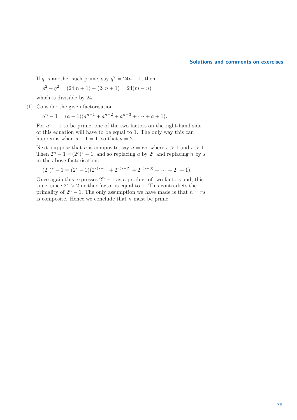#### Solutions and comments on exercises

If q is another such prime, say  $q^2 = 24n + 1$ , then

$$
p^{2} - q^{2} = (24m + 1) - (24n + 1) = 24(m - n)
$$

which is divisible by 24.

(f) Consider the given factorisation

$$
a^{n} - 1 = (a - 1)(a^{n-1} + a^{n-2} + a^{n-3} + \dots + a + 1).
$$

For  $a^n - 1$  to be prime, one of the two factors on the right-hand side of this equation will have to be equal to 1. The only way this can happen is when  $a - 1 = 1$ , so that  $a = 2$ .

Next, suppose that *n* is composite, say  $n = rs$ , where  $r > 1$  and  $s > 1$ . Then  $2^n - 1 = (2^r)^s - 1$ , and so replacing a by  $2^r$  and replacing n by s in the above factorisation:

 $(2<sup>r</sup>)<sup>s</sup> - 1 = (2<sup>r</sup> - 1)(2<sup>r(s-1)</sup> + 2<sup>r(s-2)</sup> + 2<sup>r(s-3)</sup> + \cdots + 2<sup>r</sup> + 1).$ 

Once again this expresses  $2<sup>n</sup> - 1$  as a product of two factors and, this time, since  $2^r > 2$  neither factor is equal to 1. This contradicts the primality of  $2^n - 1$ . The only assumption we have made is that  $n = rs$ is composite. Hence we conclude that  $n$  must be prime.